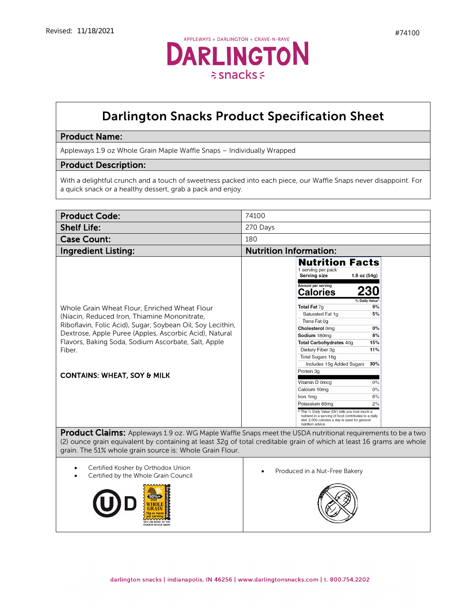

## Darlington Snacks Product Specification Sheet

## Product Name:

Appleways 1.9 oz Whole Grain Maple Waffle Snaps – Individually Wrapped

## Product Description:

With a delightful crunch and a touch of sweetness packed into each piece, our Waffle Snaps never disappoint. For a quick snack or a healthy dessert, grab a pack and enjoy.

| <b>Product Code:</b>                                                                                                                                                                                                                                                                                                             | 74100                                                                                                                                                                                                                                                                                                                                                                                                                                                                                                                                                                                                                                                                   |
|----------------------------------------------------------------------------------------------------------------------------------------------------------------------------------------------------------------------------------------------------------------------------------------------------------------------------------|-------------------------------------------------------------------------------------------------------------------------------------------------------------------------------------------------------------------------------------------------------------------------------------------------------------------------------------------------------------------------------------------------------------------------------------------------------------------------------------------------------------------------------------------------------------------------------------------------------------------------------------------------------------------------|
| <b>Shelf Life:</b>                                                                                                                                                                                                                                                                                                               | 270 Days                                                                                                                                                                                                                                                                                                                                                                                                                                                                                                                                                                                                                                                                |
| <b>Case Count:</b>                                                                                                                                                                                                                                                                                                               | 180                                                                                                                                                                                                                                                                                                                                                                                                                                                                                                                                                                                                                                                                     |
| <b>Ingredient Listing:</b>                                                                                                                                                                                                                                                                                                       | <b>Nutrition Information:</b>                                                                                                                                                                                                                                                                                                                                                                                                                                                                                                                                                                                                                                           |
| Whole Grain Wheat Flour, Enriched Wheat Flour<br>(Niacin, Reduced Iron, Thiamine Mononitrate,<br>Riboflavin, Folic Acid), Sugar, Soybean Oil, Soy Lecithin,<br>Dextrose, Apple Puree (Apples, Ascorbic Acid), Natural<br>Flavors, Baking Soda, Sodium Ascorbate, Salt, Apple<br>Fiber.<br><b>CONTAINS: WHEAT, SOY &amp; MILK</b> | <b>Nutrition Facts</b><br>1 serving per pack<br><b>Serving size</b><br>1.9 oz $(54g)$<br>Amount per serving<br><b>Calories</b><br>% Daily Value<br>Total Fat 7g<br>9%<br>5%<br>Saturated Fat 1g<br>Trans Fat 0q<br>Cholesterol 0mg<br>0%<br>8%<br>Sodium 180mg<br>Total Carbohydrates 40g<br>15%<br>11%<br>Dietary Fiber 3g<br>Total Sugars 16g<br>Includes 15g Added Sugars<br>30%<br>Protein 3g<br>Vitamin D 0mcg<br>0%<br>Calcium 10mg<br>0%<br>Iron 1mg<br>6%<br>2%<br>Potassium 85mg<br>The % Daily Value (DV) tells you how much a<br>nutrient in a serving of food contributes to a daily<br>diet. 2,000 calories a day is used for general<br>nutrition advice. |
| <b>Product Claims:</b> Appleways 1.9 oz. WG Maple Waffle Snaps meet the USDA nutritional requirements to be a two<br>(2) ounce grain equivalent by containing at least 32g of total creditable grain of which at least 16 grams are whole<br>grain. The 51% whole grain source is: Whole Grain Flour.                            |                                                                                                                                                                                                                                                                                                                                                                                                                                                                                                                                                                                                                                                                         |
| Certified Kosher by Orthodox Union<br>Certified by the Whole Grain Council<br><b>RAIN IS WHOLE GRAIN</b>                                                                                                                                                                                                                         | Produced in a Nut-Free Bakery                                                                                                                                                                                                                                                                                                                                                                                                                                                                                                                                                                                                                                           |

darlington snacks | indianapolis, IN 46256 | www.darlingtonsnacks.com | t. 800.754.2202